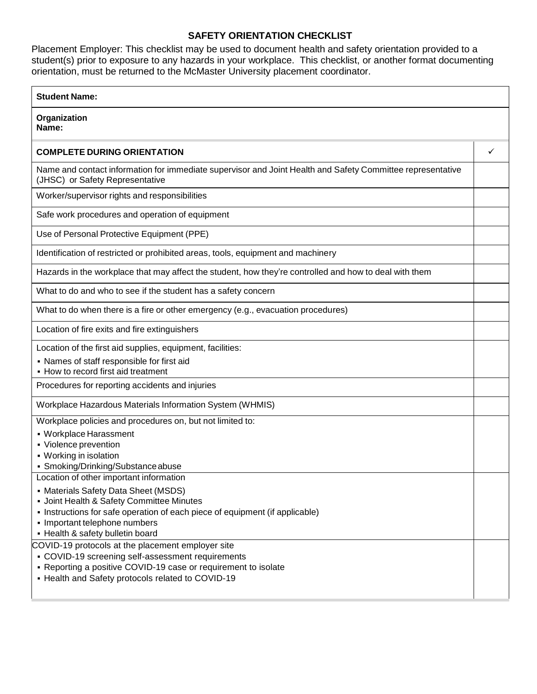## **SAFETY ORIENTATION CHECKLIST**

Placement Employer: This checklist may be used to document health and safety orientation provided to a student(s) prior to exposure to any hazards in your workplace. This checklist, or another format documenting orientation, must be returned to the McMaster University placement coordinator.

| <b>Student Name:</b>                                                                                                                                                                                                                                                              |   |
|-----------------------------------------------------------------------------------------------------------------------------------------------------------------------------------------------------------------------------------------------------------------------------------|---|
| Organization<br>Name:                                                                                                                                                                                                                                                             |   |
| <b>COMPLETE DURING ORIENTATION</b>                                                                                                                                                                                                                                                | ✓ |
| Name and contact information for immediate supervisor and Joint Health and Safety Committee representative<br>(JHSC) or Safety Representative                                                                                                                                     |   |
| Worker/supervisor rights and responsibilities                                                                                                                                                                                                                                     |   |
| Safe work procedures and operation of equipment                                                                                                                                                                                                                                   |   |
| Use of Personal Protective Equipment (PPE)                                                                                                                                                                                                                                        |   |
| Identification of restricted or prohibited areas, tools, equipment and machinery                                                                                                                                                                                                  |   |
| Hazards in the workplace that may affect the student, how they're controlled and how to deal with them                                                                                                                                                                            |   |
| What to do and who to see if the student has a safety concern                                                                                                                                                                                                                     |   |
| What to do when there is a fire or other emergency (e.g., evacuation procedures)                                                                                                                                                                                                  |   |
| Location of fire exits and fire extinguishers                                                                                                                                                                                                                                     |   |
| Location of the first aid supplies, equipment, facilities:<br>• Names of staff responsible for first aid<br>- How to record first aid treatment                                                                                                                                   |   |
| Procedures for reporting accidents and injuries                                                                                                                                                                                                                                   |   |
| Workplace Hazardous Materials Information System (WHMIS)                                                                                                                                                                                                                          |   |
| Workplace policies and procedures on, but not limited to:<br>• Workplace Harassment<br>• Violence prevention<br>• Working in isolation<br>• Smoking/Drinking/Substance abuse                                                                                                      |   |
| Location of other important information<br>• Materials Safety Data Sheet (MSDS)<br>- Joint Health & Safety Committee Minutes<br>• Instructions for safe operation of each piece of equipment (if applicable)<br>• Important telephone numbers<br>- Health & safety bulletin board |   |
| COVID-19 protocols at the placement employer site<br>• COVID-19 screening self-assessment requirements<br>- Reporting a positive COVID-19 case or requirement to isolate<br>- Health and Safety protocols related to COVID-19                                                     |   |